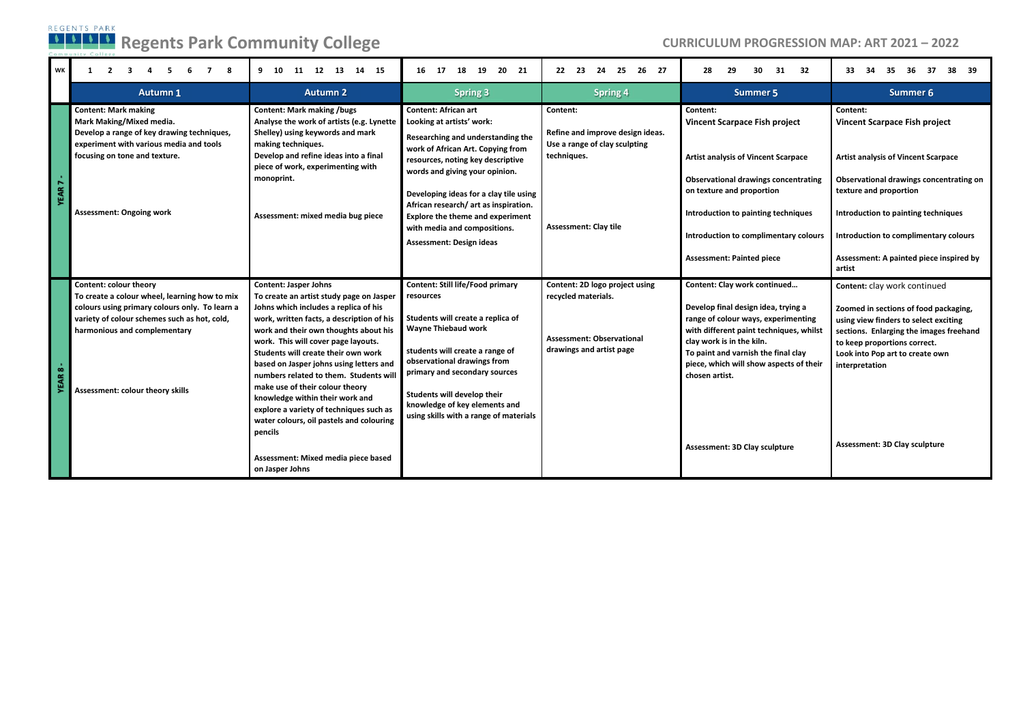## **REGENTS PARK**<br> **A A A A** Regents Park Community College **CURRICULUM PROGRESSION MAP: ART 2021 – 2022**

| <b>WK</b> |                                                                                                                                                                                                                                                      | 11 12 13 14 15<br>9 10                                                                                                                                                                                                                                                                                                                                                                                                                                                                                                                             | 18 19 20 21<br>16 17                                                                                                                                                                                                                                                                                                                                                                                       | 24 25 26 27<br>22 23                                                                                                         | 31<br>28<br>29<br>30<br>-32                                                                                                                                                                                                                                                                                                    | -34<br>35<br>36 37<br>38 39                                                                                                                                                                                                                                                                              |
|-----------|------------------------------------------------------------------------------------------------------------------------------------------------------------------------------------------------------------------------------------------------------|----------------------------------------------------------------------------------------------------------------------------------------------------------------------------------------------------------------------------------------------------------------------------------------------------------------------------------------------------------------------------------------------------------------------------------------------------------------------------------------------------------------------------------------------------|------------------------------------------------------------------------------------------------------------------------------------------------------------------------------------------------------------------------------------------------------------------------------------------------------------------------------------------------------------------------------------------------------------|------------------------------------------------------------------------------------------------------------------------------|--------------------------------------------------------------------------------------------------------------------------------------------------------------------------------------------------------------------------------------------------------------------------------------------------------------------------------|----------------------------------------------------------------------------------------------------------------------------------------------------------------------------------------------------------------------------------------------------------------------------------------------------------|
|           | <b>Autumn 1</b>                                                                                                                                                                                                                                      | <b>Autumn 2</b>                                                                                                                                                                                                                                                                                                                                                                                                                                                                                                                                    | <b>Spring 3</b>                                                                                                                                                                                                                                                                                                                                                                                            | <b>Spring 4</b>                                                                                                              | <b>Summer 5</b>                                                                                                                                                                                                                                                                                                                | Summer 6                                                                                                                                                                                                                                                                                                 |
|           | <b>Content: Mark making</b><br>Mark Making/Mixed media.<br>Develop a range of key drawing techniques,<br>experiment with various media and tools<br>focusing on tone and texture.<br><b>Assessment: Ongoing work</b>                                 | <b>Content: Mark making /bugs</b><br>Analyse the work of artists (e.g. Lynette<br>Shelley) using keywords and mark<br>making techniques.<br>Develop and refine ideas into a final<br>piece of work, experimenting with<br>monoprint.<br>Assessment: mixed media bug piece                                                                                                                                                                                                                                                                          | <b>Content: African art</b><br>Looking at artists' work:<br>Researching and understanding the<br>work of African Art. Copying from<br>resources, noting key descriptive<br>words and giving your opinion.<br>Developing ideas for a clay tile using<br>African research/ art as inspiration.<br><b>Explore the theme and experiment</b><br>with media and compositions.<br><b>Assessment: Design ideas</b> | Content:<br>Refine and improve design ideas.<br>Use a range of clay sculpting<br>techniques.<br><b>Assessment: Clay tile</b> | Content:<br><b>Vincent Scarpace Fish project</b><br><b>Artist analysis of Vincent Scarpace</b><br><b>Observational drawings concentrating</b><br>on texture and proportion<br>Introduction to painting techniques<br>Introduction to complimentary colours<br><b>Assessment: Painted piece</b>                                 | Content:<br><b>Vincent Scarpace Fish project</b><br><b>Artist analysis of Vincent Scarpace</b><br>Observational drawings concentrating on<br>texture and proportion<br>Introduction to painting techniques<br>Introduction to complimentary colours<br>Assessment: A painted piece inspired by<br>artist |
|           | <b>Content: colour theory</b><br>To create a colour wheel, learning how to mix<br>colours using primary colours only. To learn a<br>variety of colour schemes such as hot, cold,<br>harmonious and complementary<br>Assessment: colour theory skills | <b>Content: Jasper Johns</b><br>To create an artist study page on Jasper<br>Johns which includes a replica of his<br>work, written facts, a description of his<br>work and their own thoughts about his<br>work. This will cover page layouts.<br>Students will create their own work<br>based on Jasper johns using letters and<br>numbers related to them. Students will<br>make use of their colour theory<br>knowledge within their work and<br>explore a variety of techniques such as<br>water colours, oil pastels and colouring<br>pencils | <b>Content: Still life/Food primary</b><br>resources<br>Students will create a replica of<br><b>Wayne Thiebaud work</b><br>students will create a range of<br>observational drawings from<br>primary and secondary sources<br>Students will develop their<br>knowledge of key elements and<br>using skills with a range of materials                                                                       | Content: 2D logo project using<br>recycled materials.<br><b>Assessment: Observational</b><br>drawings and artist page        | Content: Clay work continued<br>Develop final design idea, trying a<br>range of colour ways, experimenting<br>with different paint techniques, whilst<br>clay work is in the kiln.<br>To paint and varnish the final clay<br>piece, which will show aspects of their<br>chosen artist.<br><b>Assessment: 3D Clay sculpture</b> | Content: clay work continued<br>Zoomed in sections of food packaging,<br>using view finders to select exciting<br>sections. Enlarging the images freehand<br>to keep proportions correct.<br>Look into Pop art to create own<br>interpretation<br><b>Assessment: 3D Clay sculpture</b>                   |
|           |                                                                                                                                                                                                                                                      | Assessment: Mixed media piece based<br>on Jasper Johns                                                                                                                                                                                                                                                                                                                                                                                                                                                                                             |                                                                                                                                                                                                                                                                                                                                                                                                            |                                                                                                                              |                                                                                                                                                                                                                                                                                                                                |                                                                                                                                                                                                                                                                                                          |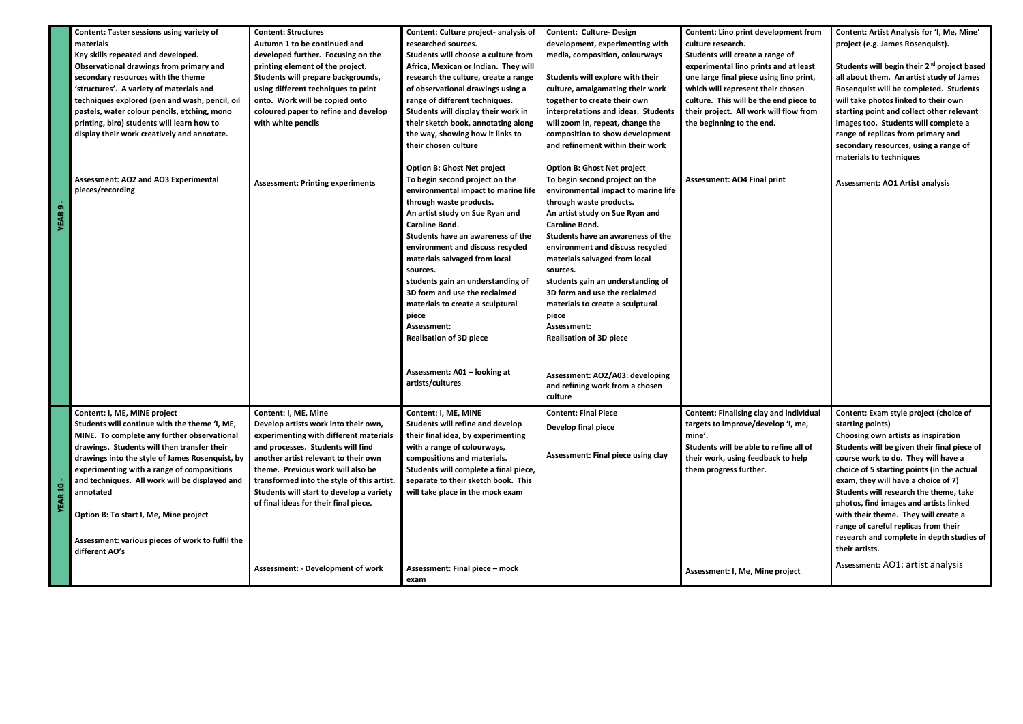|  | <b>Content: Taster sessions using variety of</b> | <b>Content: Structures</b>                 | Content: Culture project- analysis of                    | <b>Content: Culture- Design</b>                            | Content: Lino print development from           | Content: Artist Analysis for 'I, Me, Mine'                  |
|--|--------------------------------------------------|--------------------------------------------|----------------------------------------------------------|------------------------------------------------------------|------------------------------------------------|-------------------------------------------------------------|
|  | materials                                        | Autumn 1 to be continued and               | researched sources.                                      | development, experimenting with                            | culture research.                              | project (e.g. James Rosenquist).                            |
|  | Key skills repeated and developed.               | developed further. Focusing on the         | Students will choose a culture from                      | media, composition, colourways                             | Students will create a range of                |                                                             |
|  | Observational drawings from primary and          | printing element of the project.           | Africa, Mexican or Indian. They will                     |                                                            | experimental lino prints and at least          | Students will begin their 2 <sup>nd</sup> project based     |
|  | secondary resources with the theme               | Students will prepare backgrounds,         | research the culture, create a range                     | Students will explore with their                           | one large final piece using lino print,        | all about them. An artist study of James                    |
|  | 'structures'. A variety of materials and         | using different techniques to print        | of observational drawings using a                        | culture, amalgamating their work                           | which will represent their chosen              | Rosenquist will be completed. Students                      |
|  | techniques explored (pen and wash, pencil, oil   | onto. Work will be copied onto             | range of different techniques.                           | together to create their own                               | culture. This will be the end piece to         | will take photos linked to their own                        |
|  | pastels, water colour pencils, etching, mono     | coloured paper to refine and develop       | Students will display their work in                      | interpretations and ideas. Students                        | their project. All work will flow from         | starting point and collect other relevant                   |
|  | printing, biro) students will learn how to       | with white pencils                         | their sketch book, annotating along                      | will zoom in, repeat, change the                           | the beginning to the end.                      | images too. Students will complete a                        |
|  | display their work creatively and annotate.      |                                            | the way, showing how it links to                         | composition to show development                            |                                                | range of replicas from primary and                          |
|  |                                                  |                                            | their chosen culture                                     | and refinement within their work                           |                                                | secondary resources, using a range of                       |
|  |                                                  |                                            |                                                          |                                                            |                                                | materials to techniques                                     |
|  |                                                  |                                            | <b>Option B: Ghost Net project</b>                       | <b>Option B: Ghost Net project</b>                         |                                                |                                                             |
|  | Assessment: AO2 and AO3 Experimental             | <b>Assessment: Printing experiments</b>    | To begin second project on the                           | To begin second project on the                             | <b>Assessment: AO4 Final print</b>             | <b>Assessment: AO1 Artist analysis</b>                      |
|  | pieces/recording                                 |                                            | environmental impact to marine life                      | environmental impact to marine life                        |                                                |                                                             |
|  |                                                  |                                            | through waste products.                                  | through waste products.                                    |                                                |                                                             |
|  |                                                  |                                            | An artist study on Sue Ryan and<br><b>Caroline Bond.</b> | An artist study on Sue Ryan and                            |                                                |                                                             |
|  |                                                  |                                            | Students have an awareness of the                        | <b>Caroline Bond.</b><br>Students have an awareness of the |                                                |                                                             |
|  |                                                  |                                            | environment and discuss recycled                         | environment and discuss recycled                           |                                                |                                                             |
|  |                                                  |                                            | materials salvaged from local                            | materials salvaged from local                              |                                                |                                                             |
|  |                                                  |                                            | sources.                                                 | sources.                                                   |                                                |                                                             |
|  |                                                  |                                            | students gain an understanding of                        | students gain an understanding of                          |                                                |                                                             |
|  |                                                  |                                            | 3D form and use the reclaimed                            | 3D form and use the reclaimed                              |                                                |                                                             |
|  |                                                  |                                            | materials to create a sculptural                         | materials to create a sculptural                           |                                                |                                                             |
|  |                                                  |                                            | piece                                                    | piece                                                      |                                                |                                                             |
|  |                                                  |                                            | Assessment:                                              | Assessment:                                                |                                                |                                                             |
|  |                                                  |                                            | <b>Realisation of 3D piece</b>                           | <b>Realisation of 3D piece</b>                             |                                                |                                                             |
|  |                                                  |                                            |                                                          |                                                            |                                                |                                                             |
|  |                                                  |                                            |                                                          |                                                            |                                                |                                                             |
|  |                                                  |                                            | Assessment: A01 - looking at                             | Assessment: AO2/A03: developing                            |                                                |                                                             |
|  |                                                  |                                            | artists/cultures                                         | and refining work from a chosen                            |                                                |                                                             |
|  |                                                  |                                            |                                                          | culture                                                    |                                                |                                                             |
|  | Content: I, ME, MINE project                     | Content: I, ME, Mine                       | Content: I, ME, MINE                                     | <b>Content: Final Piece</b>                                | <b>Content: Finalising clay and individual</b> | Content: Exam style project (choice of                      |
|  | Students will continue with the theme 'I, ME,    | Develop artists work into their own,       | <b>Students will refine and develop</b>                  | Develop final piece                                        | targets to improve/develop 'I, me,             | starting points)                                            |
|  | MINE. To complete any further observational      | experimenting with different materials     | their final idea, by experimenting                       |                                                            | mine'.                                         | Choosing own artists as inspiration                         |
|  | drawings. Students will then transfer their      | and processes. Students will find          | with a range of colourways,                              | <b>Assessment: Final piece using clay</b>                  | Students will be able to refine all of         | Students will be given their final piece of                 |
|  | drawings into the style of James Rosenquist, by  | another artist relevant to their own       | compositions and materials.                              |                                                            | their work, using feedback to help             | course work to do. They will have a                         |
|  | experimenting with a range of compositions       | theme. Previous work will also be          | Students will complete a final piece,                    |                                                            | them progress further.                         | choice of 5 starting points (in the actual                  |
|  | and techniques. All work will be displayed and   | transformed into the style of this artist. | separate to their sketch book. This                      |                                                            |                                                | exam, they will have a choice of 7)                         |
|  | annotated                                        | Students will start to develop a variety   | will take place in the mock exam                         |                                                            |                                                | Students will research the theme, take                      |
|  |                                                  | of final ideas for their final piece.      |                                                          |                                                            |                                                | photos, find images and artists linked                      |
|  | Option B: To start I, Me, Mine project           |                                            |                                                          |                                                            |                                                | with their theme. They will create a                        |
|  |                                                  |                                            |                                                          |                                                            |                                                | range of careful replicas from their                        |
|  | Assessment: various pieces of work to fulfil the |                                            |                                                          |                                                            |                                                | research and complete in depth studies of<br>their artists. |
|  | different AO's                                   |                                            |                                                          |                                                            |                                                |                                                             |
|  |                                                  | <b>Assessment: - Development of work</b>   | Assessment: Final piece - mock                           |                                                            | Assessment: I, Me, Mine project                | Assessment: AO1: artist analysis                            |
|  |                                                  |                                            | exam                                                     |                                                            |                                                |                                                             |